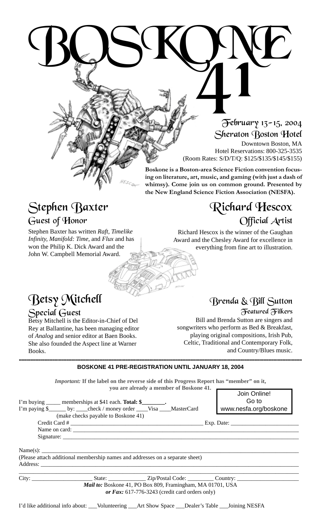# BOSKONE February 13-15, 2004 Sheraton Boston Hotel

Downtown Boston, MA Hotel Reservations: 800-325-3535 (Room Rates: S/D/T/Q: \$125/\$135/\$145/\$155)

**Boskone is a Boston-area Science Fiction convention focusing on literature, art, music, and gaming (with just a dash of whimsy). Come join us on common ground. Presented by the New England Science Fiction Association (NESFA).**

## Stephen Baxter Guest of Honor

Stephen Baxter has written *Raft, Timelike Infinity, Manifold: Time,* and *Flux* and has won the Philip K. Dick Award and the John W. Campbell Memorial Award.

## Richard Hescox Official Artist

Richard Hescox is the winner of the Gaughan Award and the Chesley Award for excellence in everything from fine art to illustration.

### Betsy Mitchell Special Guest

Betsy Mitchell is the Editor-in-Chief of Del Rey at Ballantine, has been managing editor of *Analog* and senior editor at Baen Books. She also founded the Aspect line at Warner Books.

## Brenda & Bill Sutton

Featured Filkers Bill and Brenda Sutton are singers and songwriters who perform as Bed & Breakfast, playing original compositions, Irish Pub, Celtic, Traditional and Contemporary Folk, and Country/Blues music.

**BOSKONE 41 PRE-REGISTRATION UNTIL JANUARY 18, 2004** !!!!!!!!!!!!!!!!!!!!!!!!!!!!!!!!!!!!!!!!!!!!!!!!!!!!!!!!!!!!!!!!!!!!!!!!!!!!!!!!!!!!!!!!!!!!!!!!!!!!!!!!!!!!!!!!!!!!!!!!!!!!!!!!!!!!!!!!!!!!!!!!!!!!!!!!!!!!!!!!!!!!!!!!!!!!!!!!!!!!!!!!!!!!!!!!!!!!!!!!!!!!!!!!!!!!!!!!!!!!!

*Important:* **If the label on the reverse side of this Progress Report has "member" on it, you are already a member of Boskone 41.**

|                                                                                                                                                                                        | Join Online!<br>Go to |
|----------------------------------------------------------------------------------------------------------------------------------------------------------------------------------------|-----------------------|
| I'm buying ______ memberships at \$41 each. Total: \$_________.<br>I'm paying \$_______ by: _____ check / money order _____Visa _____MasterCard<br>(make checks payable to Boskone 41) | www.nesfa.org/boskone |
|                                                                                                                                                                                        |                       |
|                                                                                                                                                                                        |                       |
|                                                                                                                                                                                        |                       |
| Name(s): $\qquad \qquad$<br>(Please attach additional membership names and addresses on a separate sheet)<br>Address:                                                                  |                       |
|                                                                                                                                                                                        |                       |
| Mail to: Boskone 41, PO Box 809, Framingham, MA 01701, USA                                                                                                                             |                       |
| or Fax: $617-776-3243$ (credit card orders only)                                                                                                                                       |                       |
| I'd like additional info about: ___Volunteering ___Art Show Space ___Dealer's Table ___Joining NESFA                                                                                   |                       |